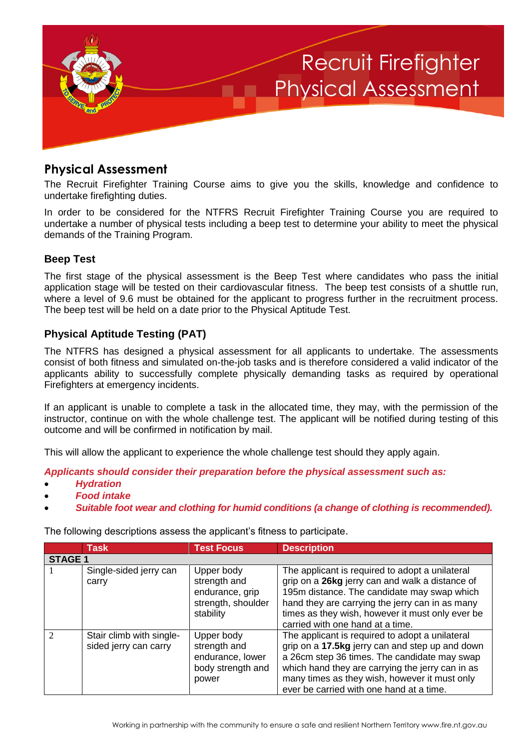

## **Physical Assessment**

The Recruit Firefighter Training Course aims to give you the skills, knowledge and confidence to undertake firefighting duties.

In order to be considered for the NTFRS Recruit Firefighter Training Course you are required to undertake a number of physical tests including a beep test to determine your ability to meet the physical demands of the Training Program.

## **Beep Test**

The first stage of the physical assessment is the Beep Test where candidates who pass the initial application stage will be tested on their cardiovascular fitness. The beep test consists of a shuttle run, where a level of 9.6 must be obtained for the applicant to progress further in the recruitment process. The beep test will be held on a date prior to the Physical Aptitude Test.

## **Physical Aptitude Testing (PAT)**

The NTFRS has designed a physical assessment for all applicants to undertake. The assessments consist of both fitness and simulated on-the-job tasks and is therefore considered a valid indicator of the applicants ability to successfully complete physically demanding tasks as required by operational Firefighters at emergency incidents.

If an applicant is unable to complete a task in the allocated time, they may, with the permission of the instructor, continue on with the whole challenge test. The applicant will be notified during testing of this outcome and will be confirmed in notification by mail.

This will allow the applicant to experience the whole challenge test should they apply again.

*Applicants should consider their preparation before the physical assessment such as:*

- *Hydration*
- *Food intake*
- *Suitable foot wear and clothing for humid conditions (a change of clothing is recommended).*

The following descriptions assess the applicant's fitness to participate.

|                | <b>Task</b>                                       | <b>Test Focus</b>                                                                | <b>Description</b>                                                                                                                                                                                                                                                                                  |  |
|----------------|---------------------------------------------------|----------------------------------------------------------------------------------|-----------------------------------------------------------------------------------------------------------------------------------------------------------------------------------------------------------------------------------------------------------------------------------------------------|--|
| <b>STAGE 1</b> |                                                   |                                                                                  |                                                                                                                                                                                                                                                                                                     |  |
|                | Single-sided jerry can<br>carry                   | Upper body<br>strength and<br>endurance, grip<br>strength, shoulder<br>stability | The applicant is required to adopt a unilateral<br>grip on a 26kg jerry can and walk a distance of<br>195m distance. The candidate may swap which<br>hand they are carrying the jerry can in as many<br>times as they wish, however it must only ever be<br>carried with one hand at a time.        |  |
| $\mathcal{D}$  | Stair climb with single-<br>sided jerry can carry | Upper body<br>strength and<br>endurance, lower<br>body strength and<br>power     | The applicant is required to adopt a unilateral<br>grip on a 17.5kg jerry can and step up and down<br>a 26cm step 36 times. The candidate may swap<br>which hand they are carrying the jerry can in as<br>many times as they wish, however it must only<br>ever be carried with one hand at a time. |  |